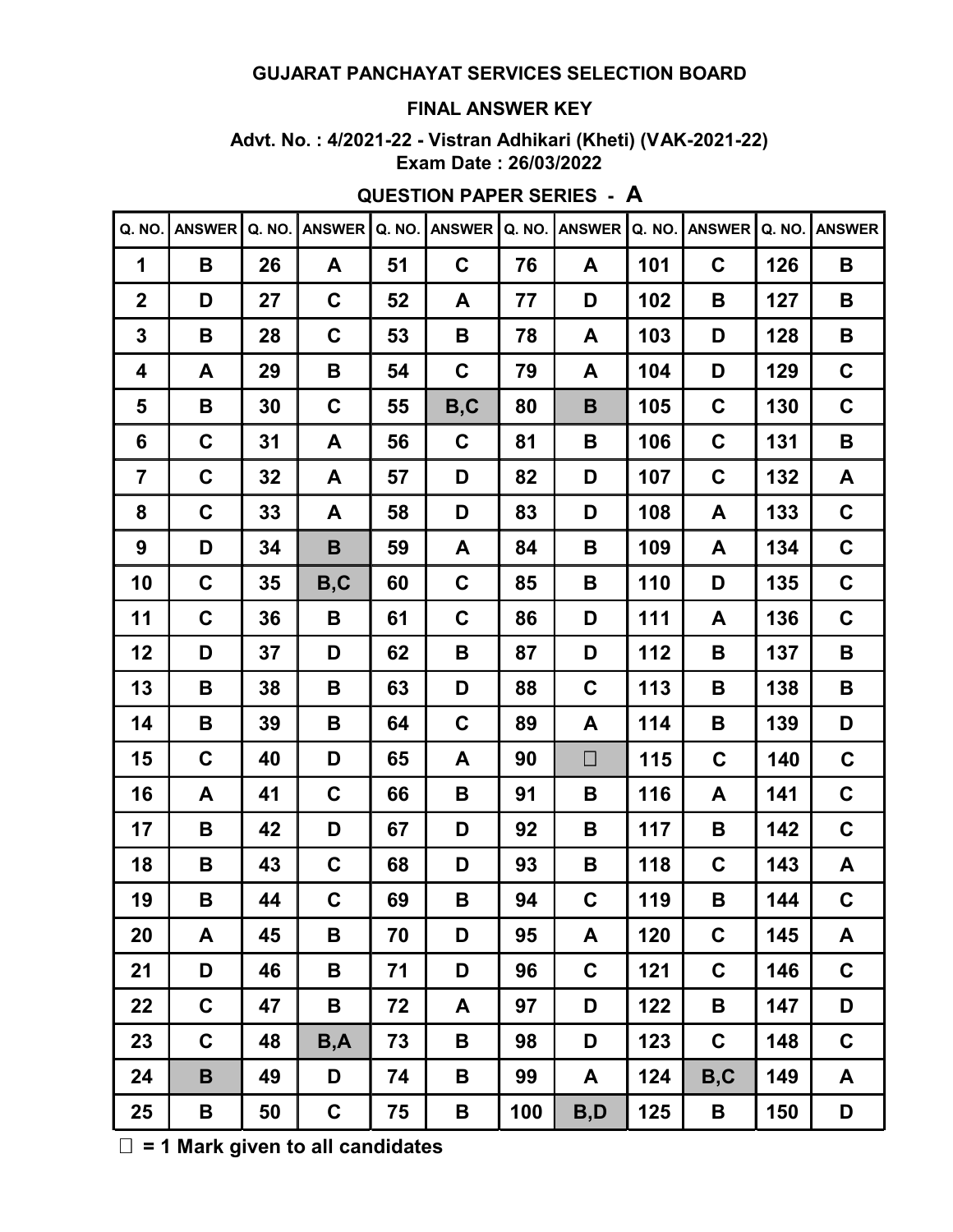#### **FINAL ANSWER KEY**

**Advt. No. : 4/2021-22 - Vistran Adhikari (Kheti) (VAK-2021-22) Exam Date : 26/03/2022**

| Q. NO.         | <b>ANSWER</b> | Q. NO. | <b>ANSWER</b> | Q. NO. | <b>ANSWER</b> | Q. NO. | <b>ANSWER</b> | Q. NO. | <b>ANSWER</b> | Q. NO. | <b>ANSWER</b> |
|----------------|---------------|--------|---------------|--------|---------------|--------|---------------|--------|---------------|--------|---------------|
| 1              | B             | 26     | A             | 51     | C             | 76     | A             | 101    | $\mathbf C$   | 126    | B             |
| $\mathbf{2}$   | D             | 27     | $\mathbf C$   | 52     | A             | 77     | D             | 102    | B             | 127    | B             |
| 3              | B             | 28     | $\mathbf C$   | 53     | B             | 78     | A             | 103    | D             | 128    | B             |
| 4              | A             | 29     | B             | 54     | $\mathbf C$   | 79     | A             | 104    | D             | 129    | $\mathbf C$   |
| 5              | B             | 30     | $\mathbf C$   | 55     | B, C          | 80     | B             | 105    | $\mathbf C$   | 130    | $\mathbf C$   |
| 6              | $\mathbf C$   | 31     | A             | 56     | $\mathbf C$   | 81     | B             | 106    | $\mathbf C$   | 131    | B             |
| $\overline{7}$ | $\mathbf C$   | 32     | A             | 57     | D             | 82     | D             | 107    | $\mathbf C$   | 132    | A             |
| 8              | $\mathbf C$   | 33     | A             | 58     | D             | 83     | D             | 108    | A             | 133    | $\mathbf C$   |
| 9              | D             | 34     | B             | 59     | A             | 84     | В             | 109    | A             | 134    | $\mathbf C$   |
| 10             | $\mathbf C$   | 35     | B, C          | 60     | $\mathbf C$   | 85     | B             | 110    | D             | 135    | $\mathbf C$   |
| 11             | $\mathbf C$   | 36     | B             | 61     | $\mathbf C$   | 86     | D             | 111    | A             | 136    | $\mathbf C$   |
| 12             | D             | 37     | D             | 62     | B             | 87     | D             | 112    | B             | 137    | B             |
| 13             | B             | 38     | B             | 63     | D             | 88     | C             | 113    | B             | 138    | B             |
| 14             | B             | 39     | Β             | 64     | C             | 89     | A             | 114    | B             | 139    | D             |
| 15             | $\mathbf C$   | 40     | D             | 65     | A             | 90     | $\Box$        | 115    | $\mathbf C$   | 140    | $\mathbf C$   |
| 16             | A             | 41     | $\mathbf C$   | 66     | B             | 91     | B             | 116    | A             | 141    | $\mathbf C$   |
| 17             | B             | 42     | D             | 67     | D             | 92     | В             | 117    | B             | 142    | C             |
| 18             | B             | 43     | C             | 68     | D             | 93     | В             | 118    | C             | 143    | A             |
| 19             | B             | 44     | C             | 69     | В             | 94     | C             | 119    | B             | 144    | $\mathbf C$   |
| 20             | A             | 45     | B             | 70     | D             | 95     | A             | 120    | $\mathbf c$   | 145    | A             |
| 21             | D             | 46     | Β             | 71     | D             | 96     | $\mathbf C$   | 121    | $\mathbf C$   | 146    | $\mathbf C$   |
| 22             | $\mathbf C$   | 47     | B             | 72     | A             | 97     | D             | 122    | B             | 147    | D             |
| 23             | $\mathbf C$   | 48     | B, A          | 73     | B             | 98     | D             | 123    | $\mathbf C$   | 148    | $\mathbf C$   |
| 24             | B             | 49     | D             | 74     | B             | 99     | A             | 124    | B, C          | 149    | A             |
| 25             | B             | 50     | $\mathbf C$   | 75     | B             | 100    | B,D           | 125    | $\mathbf B$   | 150    | D             |

**QUESTION PAPER SERIES - A**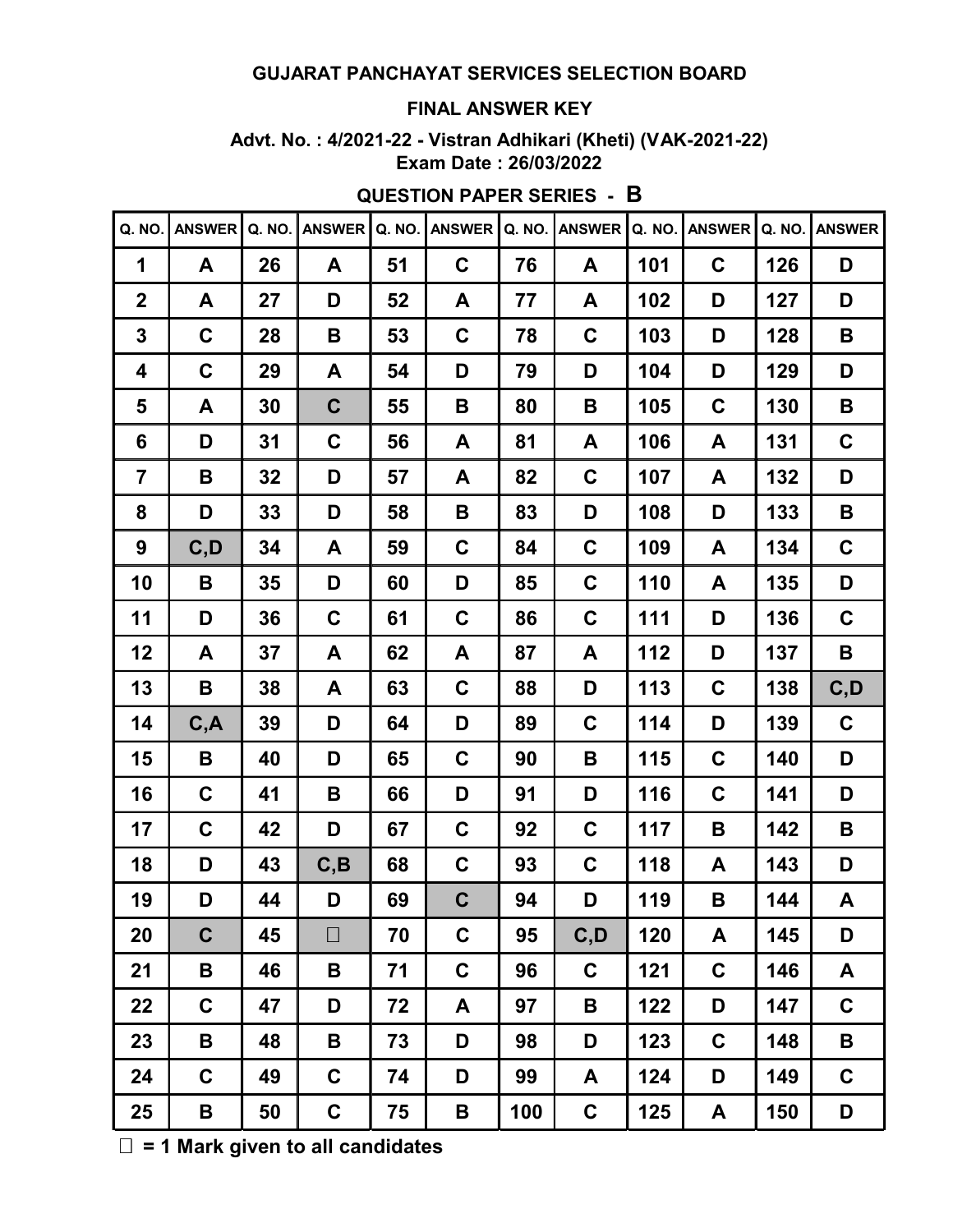#### **FINAL ANSWER KEY**

**Advt. No. : 4/2021-22 - Vistran Adhikari (Kheti) (VAK-2021-22) Exam Date : 26/03/2022**

| Q. NO.          | <b>ANSWER</b> | Q. NO. | <b>ANSWER</b> | Q. NO. | <b>ANSWER</b> | Q. NO. | <b>ANSWER</b> | Q. NO. | <b>ANSWER</b> | Q. NO. | <b>ANSWER</b> |
|-----------------|---------------|--------|---------------|--------|---------------|--------|---------------|--------|---------------|--------|---------------|
| 1               | A             | 26     | A             | 51     | $\mathbf C$   | 76     | A             | 101    | $\mathbf C$   | 126    | D             |
| $\mathbf{2}$    | A             | 27     | D             | 52     | A             | 77     | A             | 102    | D             | 127    | D             |
| 3               | $\mathbf C$   | 28     | B             | 53     | $\mathbf C$   | 78     | C             | 103    | D             | 128    | B             |
| 4               | $\mathbf C$   | 29     | A             | 54     | D             | 79     | D             | 104    | D             | 129    | D             |
| 5               | A             | 30     | $\mathbf C$   | 55     | B             | 80     | B             | 105    | $\mathbf C$   | 130    | B             |
| $6\phantom{1}6$ | D             | 31     | $\mathbf C$   | 56     | A             | 81     | A             | 106    | A             | 131    | $\mathbf C$   |
| 7               | B             | 32     | D             | 57     | A             | 82     | C             | 107    | A             | 132    | D             |
| 8               | D             | 33     | D             | 58     | B             | 83     | D             | 108    | D             | 133    | B             |
| 9               | C, D          | 34     | A             | 59     | $\mathbf C$   | 84     | $\mathbf C$   | 109    | A             | 134    | $\mathbf C$   |
| 10              | B             | 35     | D             | 60     | D             | 85     | $\mathbf C$   | 110    | A             | 135    | D             |
| 11              | D             | 36     | $\mathbf C$   | 61     | $\mathbf C$   | 86     | $\mathbf C$   | 111    | D             | 136    | $\mathbf C$   |
| 12              | A             | 37     | A             | 62     | A             | 87     | A             | 112    | D             | 137    | B             |
| 13              | B             | 38     | A             | 63     | $\mathbf C$   | 88     | D             | 113    | $\mathbf C$   | 138    | C, D          |
| 14              | C, A          | 39     | D             | 64     | D             | 89     | $\mathbf C$   | 114    | D             | 139    | $\mathbf C$   |
| 15              | B             | 40     | D             | 65     | C             | 90     | B             | 115    | $\mathbf C$   | 140    | D             |
| 16              | $\mathbf C$   | 41     | B             | 66     | D             | 91     | D             | 116    | $\mathbf C$   | 141    | D             |
| 17              | $\mathbf C$   | 42     | D             | 67     | C             | 92     | C             | 117    | B             | 142    | B             |
| 18              | D             | 43     | C, B          | 68     | C             | 93     | $\mathbf c$   | 118    | A             | 143    | D             |
| 19              | D             | 44     | D             | 69     | $\mathbf C$   | 94     | D             | 119    | B             | 144    | A             |
| 20              | $\mathbf C$   | 45     | $\Box$        | 70     | C             | 95     | C, D          | 120    | A             | 145    | D             |
| 21              | B             | 46     | B             | 71     | C             | 96     | C             | 121    | $\mathbf c$   | 146    | A             |
| 22              | $\mathbf C$   | 47     | D             | 72     | A             | 97     | B             | 122    | D             | 147    | $\mathbf C$   |
| 23              | B             | 48     | B             | 73     | D             | 98     | D             | 123    | $\mathbf C$   | 148    | B             |
| 24              | $\mathbf C$   | 49     | $\mathbf C$   | 74     | D             | 99     | A             | 124    | D             | 149    | $\mathbf C$   |
| 25              | B             | 50     | $\mathbf C$   | 75     | B             | 100    | $\mathbf C$   | 125    | A             | 150    | D             |

**QUESTION PAPER SERIES - B**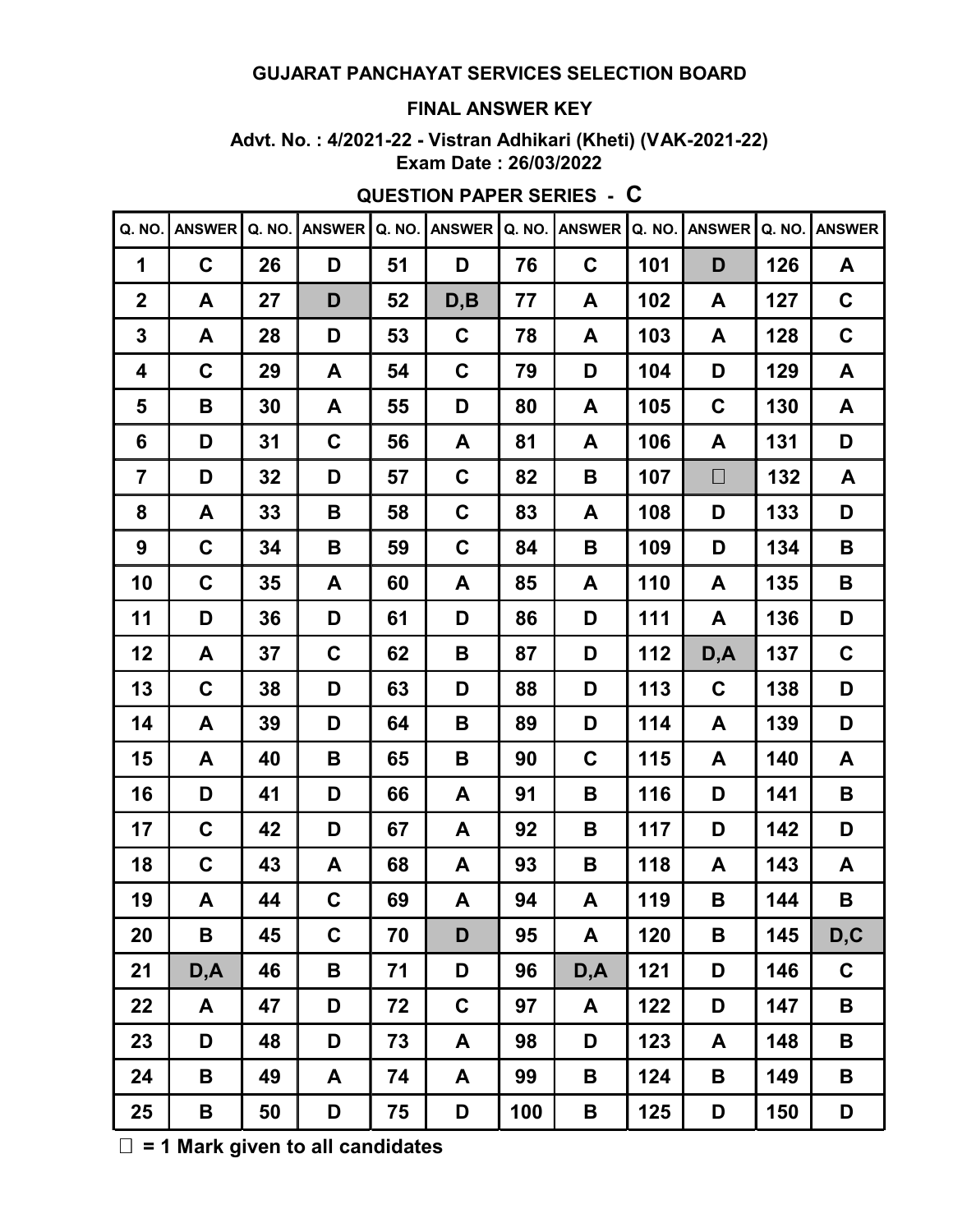#### **FINAL ANSWER KEY**

**Advt. No. : 4/2021-22 - Vistran Adhikari (Kheti) (VAK-2021-22) Exam Date : 26/03/2022**

| Q. NO.                  | <b>ANSWER</b> | Q. NO. | <b>ANSWER</b> | Q. NO. | <b>ANSWER</b> |     | Q. NO. ANSWER | Q. NO. | <b>ANSWER</b> |     | Q. NO. ANSWER |
|-------------------------|---------------|--------|---------------|--------|---------------|-----|---------------|--------|---------------|-----|---------------|
| 1                       | $\mathbf C$   | 26     | D             | 51     | D             | 76  | C             | 101    | D             | 126 | A             |
| $\mathbf{2}$            | A             | 27     | D             | 52     | D, B          | 77  | A             | 102    | A             | 127 | $\mathbf C$   |
| 3                       | A             | 28     | D             | 53     | $\mathbf C$   | 78  | A             | 103    | A             | 128 | $\mathbf C$   |
| 4                       | $\mathbf C$   | 29     | A             | 54     | $\mathbf C$   | 79  | D             | 104    | D             | 129 | A             |
| 5                       | B             | 30     | A             | 55     | D             | 80  | A             | 105    | C             | 130 | A             |
| 6                       | D             | 31     | $\mathbf C$   | 56     | A             | 81  | A             | 106    | A             | 131 | D             |
| $\overline{\mathbf{7}}$ | D             | 32     | D             | 57     | $\mathbf C$   | 82  | В             | 107    | $\Box$        | 132 | A             |
| 8                       | A             | 33     | B             | 58     | $\mathbf C$   | 83  | A             | 108    | D             | 133 | D             |
| 9                       | $\mathbf C$   | 34     | B             | 59     | C             | 84  | В             | 109    | D             | 134 | B             |
| 10                      | $\mathbf C$   | 35     | A             | 60     | A             | 85  | A             | 110    | A             | 135 | B             |
| 11                      | D             | 36     | D             | 61     | D             | 86  | D             | 111    | A             | 136 | D             |
| 12                      | A             | 37     | $\mathbf C$   | 62     | B             | 87  | D             | 112    | D,A           | 137 | $\mathbf C$   |
| 13                      | $\mathbf C$   | 38     | D             | 63     | D             | 88  | D             | 113    | $\mathbf C$   | 138 | D             |
| 14                      | A             | 39     | D             | 64     | B             | 89  | D             | 114    | A             | 139 | D             |
| 15                      | A             | 40     | B             | 65     | B             | 90  | C             | 115    | A             | 140 | A             |
| 16                      | D             | 41     | D             | 66     | A             | 91  | В             | 116    | D             | 141 | B             |
| 17                      | $\mathbf C$   | 42     | D             | 67     | A             | 92  | В             | 117    | D             | 142 | D             |
| 18                      | $\mathbf C$   | 43     | A             | 68     | A             | 93  | В             | 118    | A             | 143 | A             |
| 19                      | Α             | 44     | C             | 69     | A             | 94  | A             | 119    | B             | 144 | B             |
| 20                      | Β             | 45     | C             | 70     | D             | 95  | A             | 120    | В             | 145 | D,C           |
| 21                      | D, A          | 46     | Β             | 71     | D             | 96  | D,A           | 121    | D             | 146 | $\mathbf C$   |
| 22                      | A             | 47     | D             | 72     | $\mathbf C$   | 97  | A             | 122    | D             | 147 | B             |
| 23                      | D             | 48     | D             | 73     | A             | 98  | D             | 123    | A             | 148 | B             |
| 24                      | B             | 49     | A             | 74     | A             | 99  | B             | 124    | B             | 149 | B             |
| 25                      | B             | 50     | D             | 75     | D             | 100 | B             | 125    | D             | 150 | D             |

**QUESTION PAPER SERIES - C**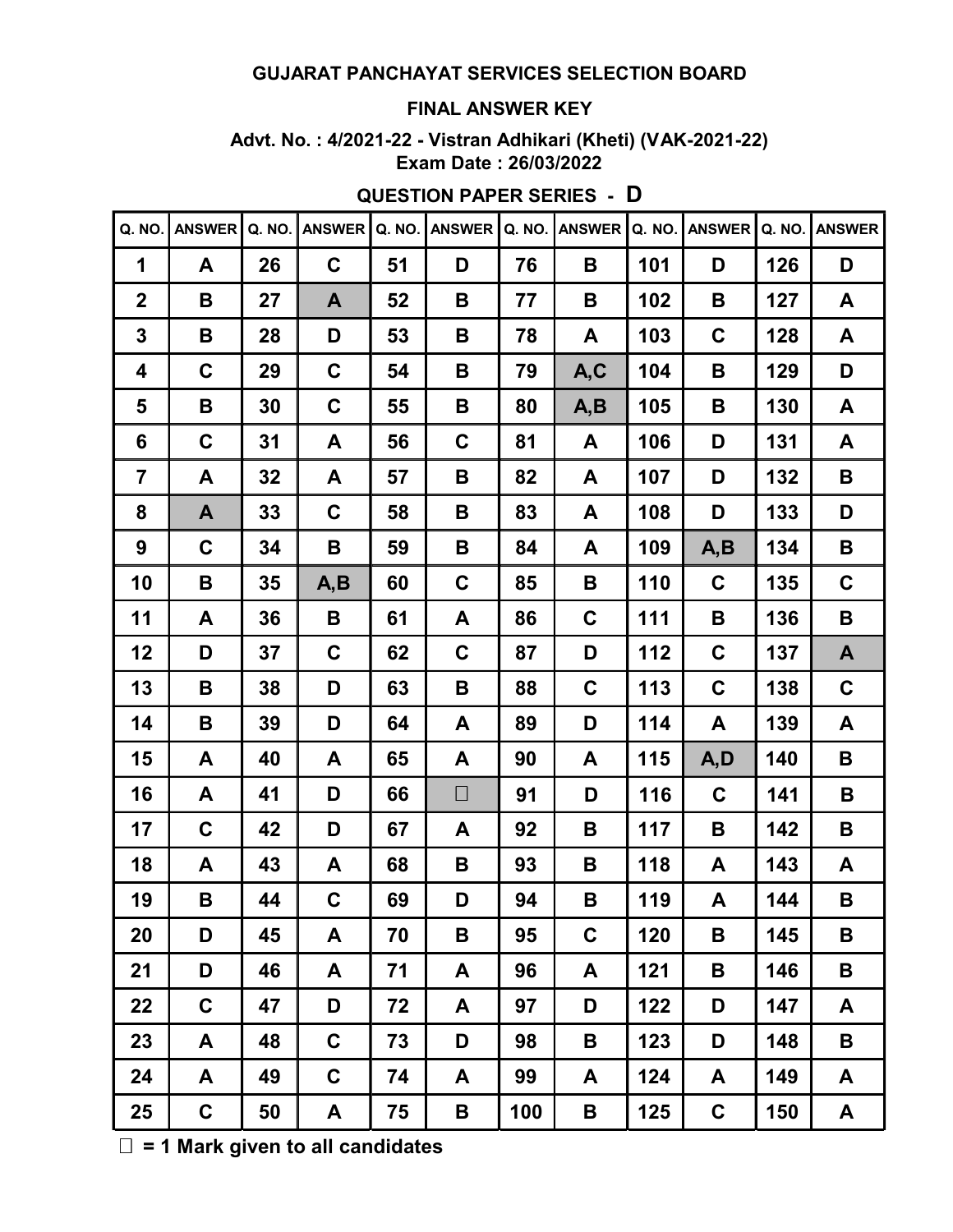#### **FINAL ANSWER KEY**

**Advt. No. : 4/2021-22 - Vistran Adhikari (Kheti) (VAK-2021-22) Exam Date : 26/03/2022**

| Q. NO.                  | <b>ANSWER</b> | Q. NO. | <b>ANSWER</b> | Q. NO. | <b>ANSWER</b> | Q. NO. | <b>ANSWER</b> | Q. NO. | <b>ANSWER</b> | Q. NO. | <b>ANSWER</b> |
|-------------------------|---------------|--------|---------------|--------|---------------|--------|---------------|--------|---------------|--------|---------------|
| 1                       | A             | 26     | $\mathbf C$   | 51     | D             | 76     | B             | 101    | D             | 126    | D             |
| $\mathbf{2}$            | B             | 27     | A             | 52     | B             | 77     | B             | 102    | B             | 127    | A             |
| 3                       | B             | 28     | D             | 53     | B             | 78     | A             | 103    | $\mathbf C$   | 128    | A             |
| 4                       | $\mathbf C$   | 29     | $\mathbf C$   | 54     | В             | 79     | A,C           | 104    | В             | 129    | D             |
| 5                       | B             | 30     | $\mathbf C$   | 55     | B             | 80     | A,B           | 105    | B             | 130    | A             |
| $6\phantom{1}6$         | $\mathbf C$   | 31     | A             | 56     | $\mathbf C$   | 81     | A             | 106    | D             | 131    | A             |
| $\overline{\mathbf{7}}$ | A             | 32     | A             | 57     | B             | 82     | A             | 107    | D             | 132    | B             |
| 8                       | A             | 33     | $\mathbf C$   | 58     | B             | 83     | A             | 108    | D             | 133    | D             |
| 9                       | $\mathbf C$   | 34     | B             | 59     | B             | 84     | A             | 109    | A, B          | 134    | B             |
| 10                      | B             | 35     | A, B          | 60     | $\mathbf C$   | 85     | B             | 110    | $\mathbf C$   | 135    | $\mathbf C$   |
| 11                      | A             | 36     | B             | 61     | A             | 86     | $\mathbf C$   | 111    | B             | 136    | B             |
| 12                      | D             | 37     | $\mathbf C$   | 62     | $\mathbf C$   | 87     | D             | 112    | $\mathbf C$   | 137    | A             |
| 13                      | B             | 38     | D             | 63     | B             | 88     | C             | 113    | $\mathbf C$   | 138    | $\mathbf C$   |
| 14                      | B             | 39     | D             | 64     | A             | 89     | D             | 114    | A             | 139    | A             |
| 15                      | A             | 40     | A             | 65     | A             | 90     | A             | 115    | A,D           | 140    | B             |
| 16                      | A             | 41     | D             | 66     | $\Box$        | 91     | D             | 116    | $\mathbf C$   | 141    | B             |
| 17                      | $\mathbf C$   | 42     | D             | 67     | A             | 92     | B             | 117    | B             | 142    | B             |
| 18                      | A             | 43     | A             | 68     | B             | 93     | В             | 118    | A             | 143    | A             |
| 19                      | B             | 44     | $\mathbf C$   | 69     | D             | 94     | B             | 119    | A             | 144    | B             |
| 20                      | D             | 45     | A             | 70     | Β             | 95     | $\mathbf C$   | 120    | В             | 145    | B             |
| 21                      | D             | 46     | A             | 71     | A             | 96     | A             | 121    | B             | 146    | B             |
| 22                      | $\mathbf C$   | 47     | D             | 72     | A             | 97     | D             | 122    | D             | 147    | A             |
| 23                      | A             | 48     | C             | 73     | D             | 98     | B             | 123    | D             | 148    | B             |
| 24                      | A             | 49     | $\mathbf C$   | 74     | A             | 99     | A             | 124    | A             | 149    | A             |
| 25                      | $\mathbf C$   | 50     | A             | 75     | B             | 100    | B             | 125    | $\mathbf C$   | 150    | A             |

**QUESTION PAPER SERIES - D**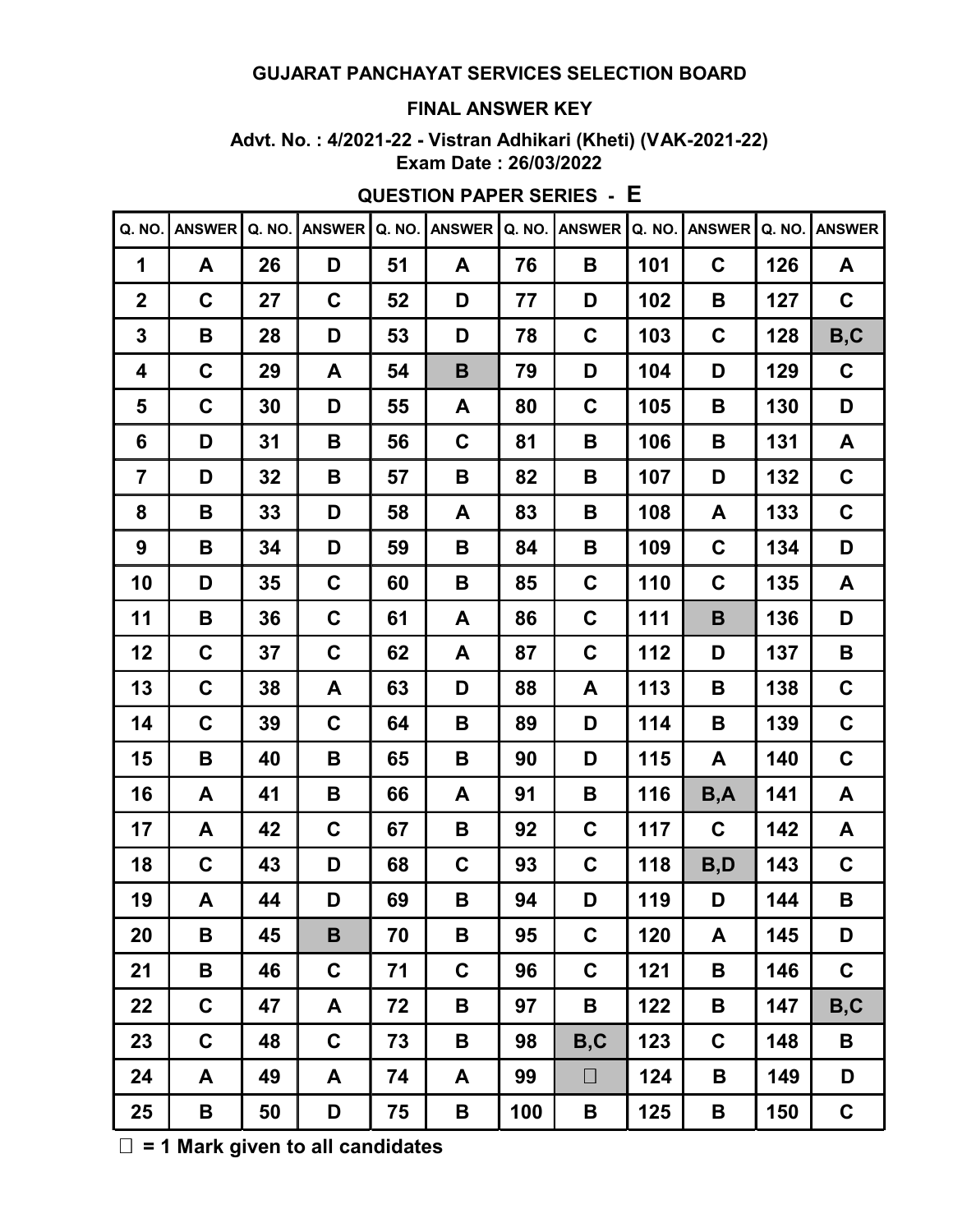#### **FINAL ANSWER KEY**

**Advt. No. : 4/2021-22 - Vistran Adhikari (Kheti) (VAK-2021-22) Exam Date : 26/03/2022**

| Q. NO.                  | <b>ANSWER</b> | Q. NO. | <b>ANSWER</b> | Q. NO. | <b>ANSWER</b> | Q. NO. | <b>ANSWER</b> | Q. NO. | <b>ANSWER</b> | Q. NO. | <b>ANSWER</b> |
|-------------------------|---------------|--------|---------------|--------|---------------|--------|---------------|--------|---------------|--------|---------------|
| 1                       | A             | 26     | D             | 51     | A             | 76     | B             | 101    | $\mathbf C$   | 126    | A             |
| $\mathbf{2}$            | $\mathbf C$   | 27     | $\mathbf C$   | 52     | D             | 77     | D             | 102    | B             | 127    | C             |
| 3                       | B             | 28     | D             | 53     | D             | 78     | C             | 103    | $\mathbf C$   | 128    | B, C          |
| 4                       | $\mathbf C$   | 29     | A             | 54     | B             | 79     | D             | 104    | D             | 129    | $\mathbf c$   |
| 5                       | $\mathbf C$   | 30     | D             | 55     | A             | 80     | C             | 105    | В             | 130    | D             |
| $6\phantom{1}6$         | D             | 31     | B             | 56     | C             | 81     | B             | 106    | B             | 131    | A             |
| $\overline{\mathbf{r}}$ | D             | 32     | B             | 57     | B             | 82     | B             | 107    | D             | 132    | $\mathbf C$   |
| 8                       | B             | 33     | D             | 58     | A             | 83     | B             | 108    | A             | 133    | $\mathbf C$   |
| 9                       | B             | 34     | D             | 59     | В             | 84     | B             | 109    | $\mathbf C$   | 134    | D             |
| 10                      | D             | 35     | $\mathbf C$   | 60     | B             | 85     | $\mathbf C$   | 110    | $\mathbf C$   | 135    | A             |
| 11                      | B             | 36     | $\mathbf C$   | 61     | A             | 86     | $\mathbf C$   | 111    | B             | 136    | D             |
| 12                      | $\mathbf C$   | 37     | $\mathbf C$   | 62     | A             | 87     | C             | 112    | D             | 137    | B             |
| 13                      | $\mathbf C$   | 38     | A             | 63     | D             | 88     | A             | 113    | B             | 138    | $\mathbf C$   |
| 14                      | $\mathbf C$   | 39     | C             | 64     | Β             | 89     | D             | 114    | В             | 139    | $\mathbf C$   |
| 15                      | B             | 40     | B             | 65     | Β             | 90     | D             | 115    | A             | 140    | $\mathbf C$   |
| 16                      | A             | 41     | B             | 66     | A             | 91     | B             | 116    | B,A           | 141    | A             |
| 17                      | A             | 42     | $\mathbf C$   | 67     | B             | 92     | $\mathbf C$   | 117    | $\mathbf C$   | 142    | A             |
| 18                      | C             | 43     | D             | 68     | C             | 93     | C             | 118    | B,D           | 143    | C             |
| 19                      | A             | 44     | D             | 69     | B             | 94     | D             | 119    | D             | 144    | B             |
| 20                      | B             | 45     | B             | 70     | Β             | 95     | $\mathbf C$   | 120    | A             | 145    | D             |
| 21                      | B             | 46     | $\mathbf C$   | 71     | C             | 96     | C             | 121    | В             | 146    | $\mathbf C$   |
| 22                      | $\mathbf C$   | 47     | A             | 72     | В             | 97     | B             | 122    | B             | 147    | B, C          |
| 23                      | C             | 48     | $\mathbf C$   | 73     | В             | 98     | B, C          | 123    | C             | 148    | B             |
| 24                      | A             | 49     | A             | 74     | A             | 99     | $\Box$        | 124    | B             | 149    | D             |
| 25                      | B             | 50     | D             | 75     | B             | 100    | B             | 125    | B             | 150    | $\mathbf C$   |

**QUESTION PAPER SERIES - E**